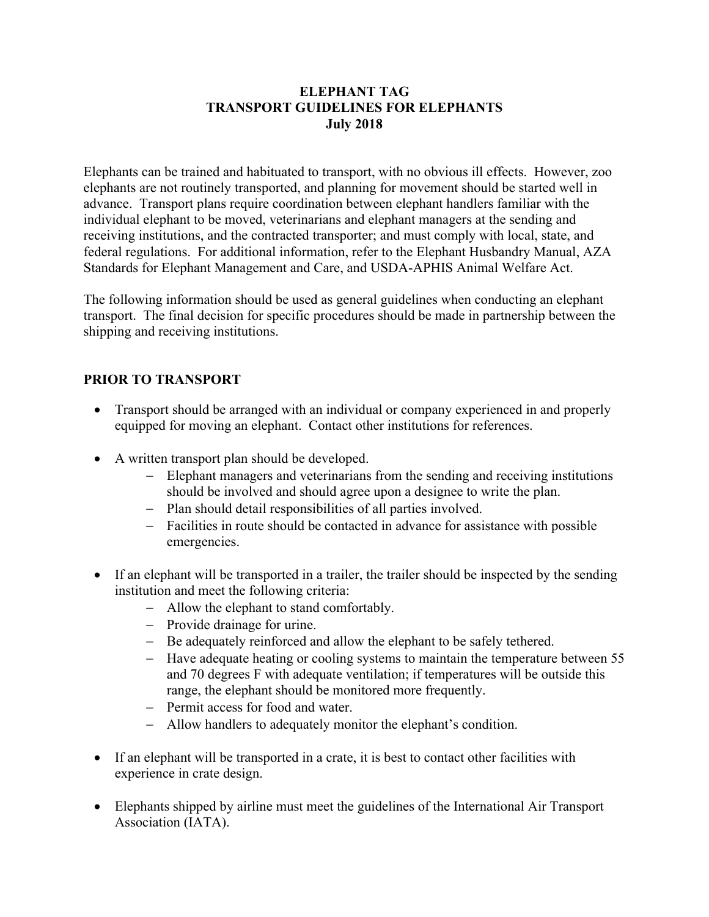## **ELEPHANT TAG TRANSPORT GUIDELINES FOR ELEPHANTS July 2018**

Elephants can be trained and habituated to transport, with no obvious ill effects. However, zoo elephants are not routinely transported, and planning for movement should be started well in advance. Transport plans require coordination between elephant handlers familiar with the individual elephant to be moved, veterinarians and elephant managers at the sending and receiving institutions, and the contracted transporter; and must comply with local, state, and federal regulations. For additional information, refer to the Elephant Husbandry Manual, AZA Standards for Elephant Management and Care, and USDA-APHIS Animal Welfare Act.

The following information should be used as general guidelines when conducting an elephant transport. The final decision for specific procedures should be made in partnership between the shipping and receiving institutions.

## **PRIOR TO TRANSPORT**

- Transport should be arranged with an individual or company experienced in and properly equipped for moving an elephant. Contact other institutions for references.
- A written transport plan should be developed.
	- Elephant managers and veterinarians from the sending and receiving institutions should be involved and should agree upon a designee to write the plan.
	- Plan should detail responsibilities of all parties involved.
	- Facilities in route should be contacted in advance for assistance with possible emergencies.
- If an elephant will be transported in a trailer, the trailer should be inspected by the sending institution and meet the following criteria:
	- Allow the elephant to stand comfortably.
	- Provide drainage for urine.
	- Be adequately reinforced and allow the elephant to be safely tethered.
	- Have adequate heating or cooling systems to maintain the temperature between 55 and 70 degrees F with adequate ventilation; if temperatures will be outside this range, the elephant should be monitored more frequently.
	- Permit access for food and water.
	- Allow handlers to adequately monitor the elephant's condition.
- If an elephant will be transported in a crate, it is best to contact other facilities with experience in crate design.
- Elephants shipped by airline must meet the guidelines of the International Air Transport Association (IATA).